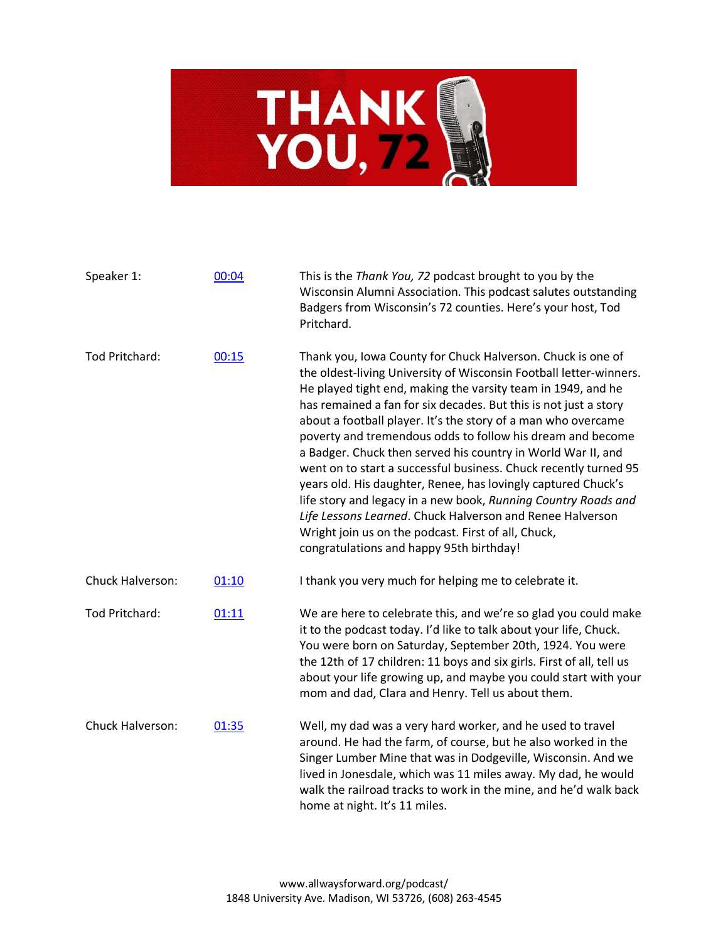

| Speaker 1:       | 00:04 | This is the Thank You, 72 podcast brought to you by the<br>Wisconsin Alumni Association. This podcast salutes outstanding<br>Badgers from Wisconsin's 72 counties. Here's your host, Tod<br>Pritchard.                                                                                                                                                                                                                                                                                                                                                                                                                                                                                                                                                                                                                                      |
|------------------|-------|---------------------------------------------------------------------------------------------------------------------------------------------------------------------------------------------------------------------------------------------------------------------------------------------------------------------------------------------------------------------------------------------------------------------------------------------------------------------------------------------------------------------------------------------------------------------------------------------------------------------------------------------------------------------------------------------------------------------------------------------------------------------------------------------------------------------------------------------|
| Tod Pritchard:   | 00:15 | Thank you, Iowa County for Chuck Halverson. Chuck is one of<br>the oldest-living University of Wisconsin Football letter-winners.<br>He played tight end, making the varsity team in 1949, and he<br>has remained a fan for six decades. But this is not just a story<br>about a football player. It's the story of a man who overcame<br>poverty and tremendous odds to follow his dream and become<br>a Badger. Chuck then served his country in World War II, and<br>went on to start a successful business. Chuck recently turned 95<br>years old. His daughter, Renee, has lovingly captured Chuck's<br>life story and legacy in a new book, Running Country Roads and<br>Life Lessons Learned. Chuck Halverson and Renee Halverson<br>Wright join us on the podcast. First of all, Chuck,<br>congratulations and happy 95th birthday! |
| Chuck Halverson: | 01:10 | I thank you very much for helping me to celebrate it.                                                                                                                                                                                                                                                                                                                                                                                                                                                                                                                                                                                                                                                                                                                                                                                       |
| Tod Pritchard:   | 01:11 | We are here to celebrate this, and we're so glad you could make<br>it to the podcast today. I'd like to talk about your life, Chuck.<br>You were born on Saturday, September 20th, 1924. You were<br>the 12th of 17 children: 11 boys and six girls. First of all, tell us<br>about your life growing up, and maybe you could start with your<br>mom and dad, Clara and Henry. Tell us about them.                                                                                                                                                                                                                                                                                                                                                                                                                                          |
| Chuck Halverson: | 01:35 | Well, my dad was a very hard worker, and he used to travel<br>around. He had the farm, of course, but he also worked in the<br>Singer Lumber Mine that was in Dodgeville, Wisconsin. And we<br>lived in Jonesdale, which was 11 miles away. My dad, he would<br>walk the railroad tracks to work in the mine, and he'd walk back<br>home at night. It's 11 miles.                                                                                                                                                                                                                                                                                                                                                                                                                                                                           |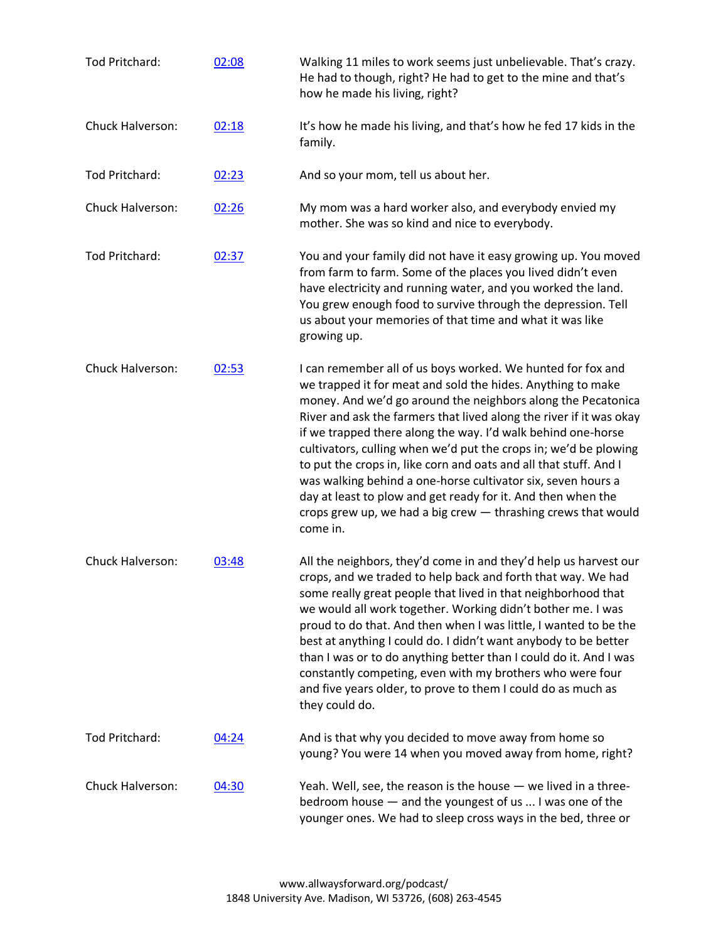| Tod Pritchard:          | 02:08 | Walking 11 miles to work seems just unbelievable. That's crazy.<br>He had to though, right? He had to get to the mine and that's<br>how he made his living, right?                                                                                                                                                                                                                                                                                                                                                                                                                                                                                                                      |
|-------------------------|-------|-----------------------------------------------------------------------------------------------------------------------------------------------------------------------------------------------------------------------------------------------------------------------------------------------------------------------------------------------------------------------------------------------------------------------------------------------------------------------------------------------------------------------------------------------------------------------------------------------------------------------------------------------------------------------------------------|
| Chuck Halverson:        | 02:18 | It's how he made his living, and that's how he fed 17 kids in the<br>family.                                                                                                                                                                                                                                                                                                                                                                                                                                                                                                                                                                                                            |
| Tod Pritchard:          | 02:23 | And so your mom, tell us about her.                                                                                                                                                                                                                                                                                                                                                                                                                                                                                                                                                                                                                                                     |
| <b>Chuck Halverson:</b> | 02:26 | My mom was a hard worker also, and everybody envied my<br>mother. She was so kind and nice to everybody.                                                                                                                                                                                                                                                                                                                                                                                                                                                                                                                                                                                |
| Tod Pritchard:          | 02:37 | You and your family did not have it easy growing up. You moved<br>from farm to farm. Some of the places you lived didn't even<br>have electricity and running water, and you worked the land.<br>You grew enough food to survive through the depression. Tell<br>us about your memories of that time and what it was like<br>growing up.                                                                                                                                                                                                                                                                                                                                                |
| Chuck Halverson:        | 02:53 | I can remember all of us boys worked. We hunted for fox and<br>we trapped it for meat and sold the hides. Anything to make<br>money. And we'd go around the neighbors along the Pecatonica<br>River and ask the farmers that lived along the river if it was okay<br>if we trapped there along the way. I'd walk behind one-horse<br>cultivators, culling when we'd put the crops in; we'd be plowing<br>to put the crops in, like corn and oats and all that stuff. And I<br>was walking behind a one-horse cultivator six, seven hours a<br>day at least to plow and get ready for it. And then when the<br>crops grew up, we had a big crew - thrashing crews that would<br>come in. |
| Chuck Halverson:        | 03:48 | All the neighbors, they'd come in and they'd help us harvest our<br>crops, and we traded to help back and forth that way. We had<br>some really great people that lived in that neighborhood that<br>we would all work together. Working didn't bother me. I was<br>proud to do that. And then when I was little, I wanted to be the<br>best at anything I could do. I didn't want anybody to be better<br>than I was or to do anything better than I could do it. And I was<br>constantly competing, even with my brothers who were four<br>and five years older, to prove to them I could do as much as<br>they could do.                                                             |
| Tod Pritchard:          | 04:24 | And is that why you decided to move away from home so<br>young? You were 14 when you moved away from home, right?                                                                                                                                                                                                                                                                                                                                                                                                                                                                                                                                                                       |
| Chuck Halverson:        | 04:30 | Yeah. Well, see, the reason is the house $-$ we lived in a three-<br>bedroom house - and the youngest of us  I was one of the<br>younger ones. We had to sleep cross ways in the bed, three or                                                                                                                                                                                                                                                                                                                                                                                                                                                                                          |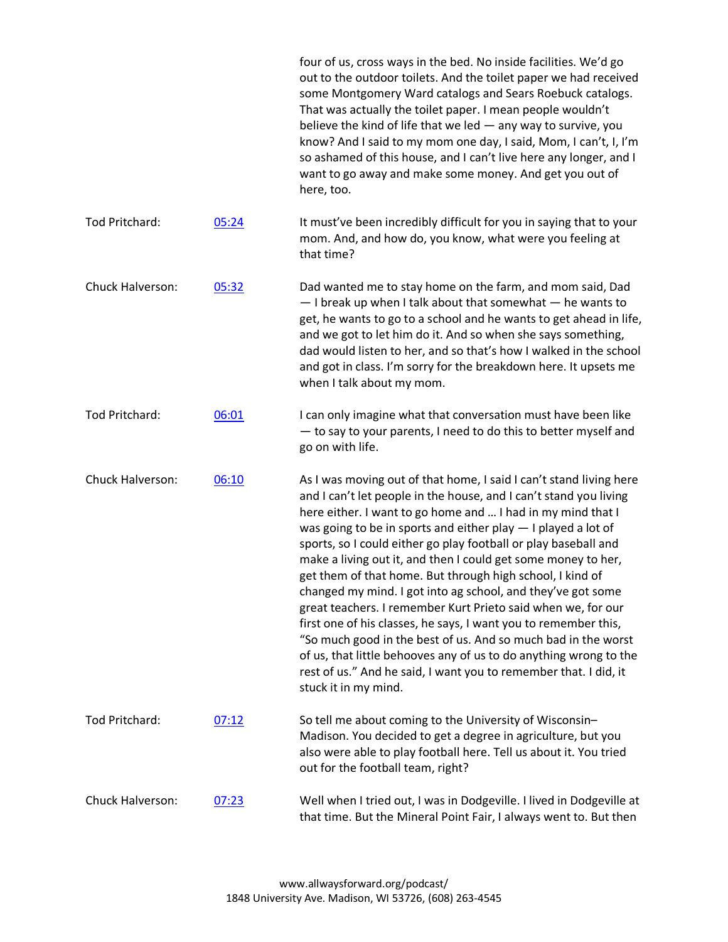|                       |       | four of us, cross ways in the bed. No inside facilities. We'd go<br>out to the outdoor toilets. And the toilet paper we had received<br>some Montgomery Ward catalogs and Sears Roebuck catalogs.<br>That was actually the toilet paper. I mean people wouldn't<br>believe the kind of life that we led $-$ any way to survive, you<br>know? And I said to my mom one day, I said, Mom, I can't, I, I'm<br>so ashamed of this house, and I can't live here any longer, and I<br>want to go away and make some money. And get you out of<br>here, too.                                                                                                                                                                                                                                                                                                                                                         |
|-----------------------|-------|---------------------------------------------------------------------------------------------------------------------------------------------------------------------------------------------------------------------------------------------------------------------------------------------------------------------------------------------------------------------------------------------------------------------------------------------------------------------------------------------------------------------------------------------------------------------------------------------------------------------------------------------------------------------------------------------------------------------------------------------------------------------------------------------------------------------------------------------------------------------------------------------------------------|
| <b>Tod Pritchard:</b> | 05:24 | It must've been incredibly difficult for you in saying that to your<br>mom. And, and how do, you know, what were you feeling at<br>that time?                                                                                                                                                                                                                                                                                                                                                                                                                                                                                                                                                                                                                                                                                                                                                                 |
| Chuck Halverson:      | 05:32 | Dad wanted me to stay home on the farm, and mom said, Dad<br>- I break up when I talk about that somewhat - he wants to<br>get, he wants to go to a school and he wants to get ahead in life,<br>and we got to let him do it. And so when she says something,<br>dad would listen to her, and so that's how I walked in the school<br>and got in class. I'm sorry for the breakdown here. It upsets me<br>when I talk about my mom.                                                                                                                                                                                                                                                                                                                                                                                                                                                                           |
| Tod Pritchard:        | 06:01 | I can only imagine what that conversation must have been like<br>- to say to your parents, I need to do this to better myself and<br>go on with life.                                                                                                                                                                                                                                                                                                                                                                                                                                                                                                                                                                                                                                                                                                                                                         |
| Chuck Halverson:      | 06:10 | As I was moving out of that home, I said I can't stand living here<br>and I can't let people in the house, and I can't stand you living<br>here either. I want to go home and  I had in my mind that I<br>was going to be in sports and either play $-1$ played a lot of<br>sports, so I could either go play football or play baseball and<br>make a living out it, and then I could get some money to her,<br>get them of that home. But through high school, I kind of<br>changed my mind. I got into ag school, and they've got some<br>great teachers. I remember Kurt Prieto said when we, for our<br>first one of his classes, he says, I want you to remember this,<br>"So much good in the best of us. And so much bad in the worst<br>of us, that little behooves any of us to do anything wrong to the<br>rest of us." And he said, I want you to remember that. I did, it<br>stuck it in my mind. |
| Tod Pritchard:        | 07:12 | So tell me about coming to the University of Wisconsin-<br>Madison. You decided to get a degree in agriculture, but you<br>also were able to play football here. Tell us about it. You tried<br>out for the football team, right?                                                                                                                                                                                                                                                                                                                                                                                                                                                                                                                                                                                                                                                                             |
| Chuck Halverson:      | 07:23 | Well when I tried out, I was in Dodgeville. I lived in Dodgeville at<br>that time. But the Mineral Point Fair, I always went to. But then                                                                                                                                                                                                                                                                                                                                                                                                                                                                                                                                                                                                                                                                                                                                                                     |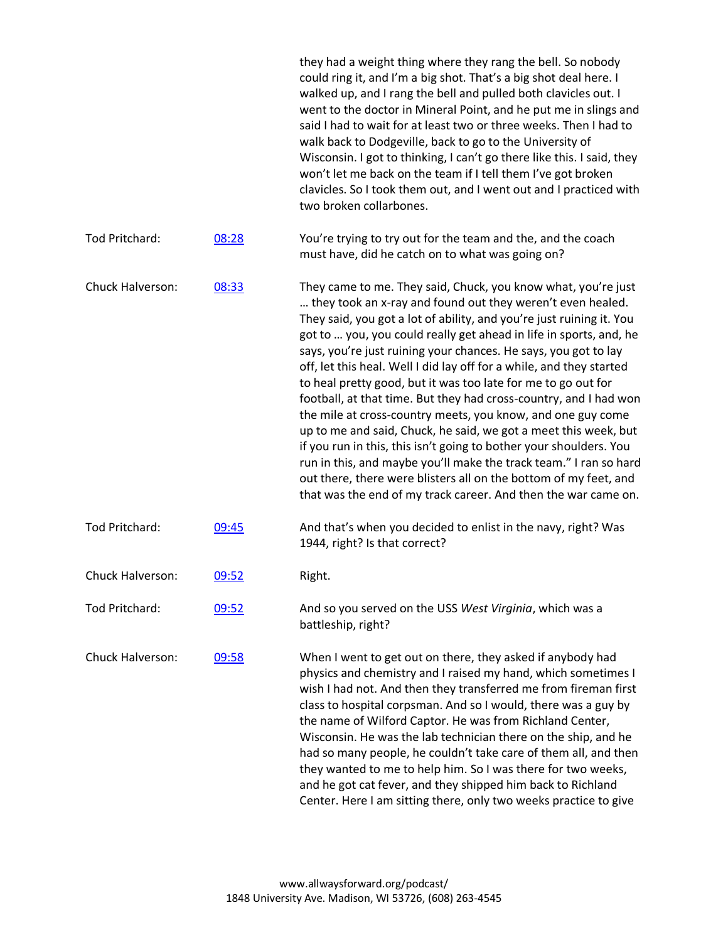|                         |       | they had a weight thing where they rang the bell. So nobody<br>could ring it, and I'm a big shot. That's a big shot deal here. I<br>walked up, and I rang the bell and pulled both clavicles out. I<br>went to the doctor in Mineral Point, and he put me in slings and<br>said I had to wait for at least two or three weeks. Then I had to<br>walk back to Dodgeville, back to go to the University of<br>Wisconsin. I got to thinking, I can't go there like this. I said, they<br>won't let me back on the team if I tell them I've got broken<br>clavicles. So I took them out, and I went out and I practiced with<br>two broken collarbones.                                                                                                                                                                                                                                                                                                                           |
|-------------------------|-------|-------------------------------------------------------------------------------------------------------------------------------------------------------------------------------------------------------------------------------------------------------------------------------------------------------------------------------------------------------------------------------------------------------------------------------------------------------------------------------------------------------------------------------------------------------------------------------------------------------------------------------------------------------------------------------------------------------------------------------------------------------------------------------------------------------------------------------------------------------------------------------------------------------------------------------------------------------------------------------|
| Tod Pritchard:          | 08:28 | You're trying to try out for the team and the, and the coach<br>must have, did he catch on to what was going on?                                                                                                                                                                                                                                                                                                                                                                                                                                                                                                                                                                                                                                                                                                                                                                                                                                                              |
| Chuck Halverson:        | 08:33 | They came to me. They said, Chuck, you know what, you're just<br>they took an x-ray and found out they weren't even healed.<br>They said, you got a lot of ability, and you're just ruining it. You<br>got to  you, you could really get ahead in life in sports, and, he<br>says, you're just ruining your chances. He says, you got to lay<br>off, let this heal. Well I did lay off for a while, and they started<br>to heal pretty good, but it was too late for me to go out for<br>football, at that time. But they had cross-country, and I had won<br>the mile at cross-country meets, you know, and one guy come<br>up to me and said, Chuck, he said, we got a meet this week, but<br>if you run in this, this isn't going to bother your shoulders. You<br>run in this, and maybe you'll make the track team." I ran so hard<br>out there, there were blisters all on the bottom of my feet, and<br>that was the end of my track career. And then the war came on. |
| Tod Pritchard:          | 09:45 | And that's when you decided to enlist in the navy, right? Was<br>1944, right? Is that correct?                                                                                                                                                                                                                                                                                                                                                                                                                                                                                                                                                                                                                                                                                                                                                                                                                                                                                |
| Chuck Halverson:        | 09:52 | Right.                                                                                                                                                                                                                                                                                                                                                                                                                                                                                                                                                                                                                                                                                                                                                                                                                                                                                                                                                                        |
| Tod Pritchard:          | 09:52 | And so you served on the USS West Virginia, which was a<br>battleship, right?                                                                                                                                                                                                                                                                                                                                                                                                                                                                                                                                                                                                                                                                                                                                                                                                                                                                                                 |
| <b>Chuck Halverson:</b> | 09:58 | When I went to get out on there, they asked if anybody had<br>physics and chemistry and I raised my hand, which sometimes I<br>wish I had not. And then they transferred me from fireman first<br>class to hospital corpsman. And so I would, there was a guy by<br>the name of Wilford Captor. He was from Richland Center,<br>Wisconsin. He was the lab technician there on the ship, and he<br>had so many people, he couldn't take care of them all, and then<br>they wanted to me to help him. So I was there for two weeks,<br>and he got cat fever, and they shipped him back to Richland<br>Center. Here I am sitting there, only two weeks practice to give                                                                                                                                                                                                                                                                                                          |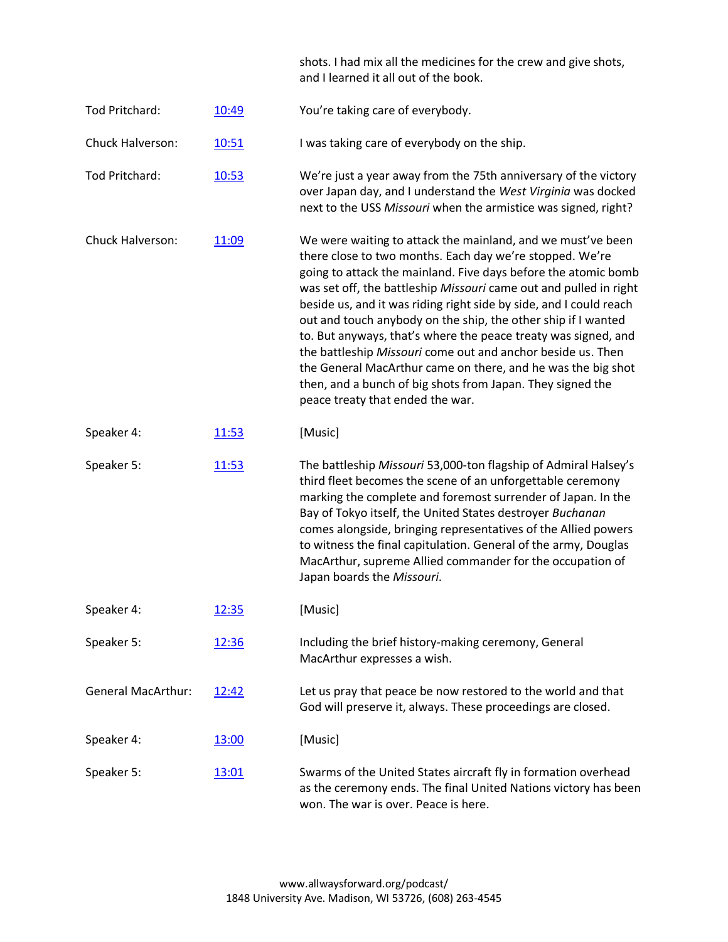|                           |              | shots. I had mix all the medicines for the crew and give shots,<br>and I learned it all out of the book.                                                                                                                                                                                                                                                                                                                                                                                                                                                                                                                                                                                                 |
|---------------------------|--------------|----------------------------------------------------------------------------------------------------------------------------------------------------------------------------------------------------------------------------------------------------------------------------------------------------------------------------------------------------------------------------------------------------------------------------------------------------------------------------------------------------------------------------------------------------------------------------------------------------------------------------------------------------------------------------------------------------------|
| Tod Pritchard:            | 10:49        | You're taking care of everybody.                                                                                                                                                                                                                                                                                                                                                                                                                                                                                                                                                                                                                                                                         |
| Chuck Halverson:          | 10:51        | I was taking care of everybody on the ship.                                                                                                                                                                                                                                                                                                                                                                                                                                                                                                                                                                                                                                                              |
| Tod Pritchard:            | 10:53        | We're just a year away from the 75th anniversary of the victory<br>over Japan day, and I understand the West Virginia was docked<br>next to the USS Missouri when the armistice was signed, right?                                                                                                                                                                                                                                                                                                                                                                                                                                                                                                       |
| Chuck Halverson:          | 11:09        | We were waiting to attack the mainland, and we must've been<br>there close to two months. Each day we're stopped. We're<br>going to attack the mainland. Five days before the atomic bomb<br>was set off, the battleship Missouri came out and pulled in right<br>beside us, and it was riding right side by side, and I could reach<br>out and touch anybody on the ship, the other ship if I wanted<br>to. But anyways, that's where the peace treaty was signed, and<br>the battleship Missouri come out and anchor beside us. Then<br>the General MacArthur came on there, and he was the big shot<br>then, and a bunch of big shots from Japan. They signed the<br>peace treaty that ended the war. |
| Speaker 4:                | 11:53        | [Music]                                                                                                                                                                                                                                                                                                                                                                                                                                                                                                                                                                                                                                                                                                  |
| Speaker 5:                | 11:53        | The battleship Missouri 53,000-ton flagship of Admiral Halsey's<br>third fleet becomes the scene of an unforgettable ceremony<br>marking the complete and foremost surrender of Japan. In the<br>Bay of Tokyo itself, the United States destroyer Buchanan<br>comes alongside, bringing representatives of the Allied powers<br>to witness the final capitulation. General of the army, Douglas<br>MacArthur, supreme Allied commander for the occupation of<br>Japan boards the Missouri.                                                                                                                                                                                                               |
| Speaker 4:                | 12:35        | [Music]                                                                                                                                                                                                                                                                                                                                                                                                                                                                                                                                                                                                                                                                                                  |
| Speaker 5:                | <u>12:36</u> | Including the brief history-making ceremony, General<br>MacArthur expresses a wish.                                                                                                                                                                                                                                                                                                                                                                                                                                                                                                                                                                                                                      |
| <b>General MacArthur:</b> | 12:42        | Let us pray that peace be now restored to the world and that<br>God will preserve it, always. These proceedings are closed.                                                                                                                                                                                                                                                                                                                                                                                                                                                                                                                                                                              |
| Speaker 4:                | <u>13:00</u> | [Music]                                                                                                                                                                                                                                                                                                                                                                                                                                                                                                                                                                                                                                                                                                  |
| Speaker 5:                | <u>13:01</u> | Swarms of the United States aircraft fly in formation overhead<br>as the ceremony ends. The final United Nations victory has been<br>won. The war is over. Peace is here.                                                                                                                                                                                                                                                                                                                                                                                                                                                                                                                                |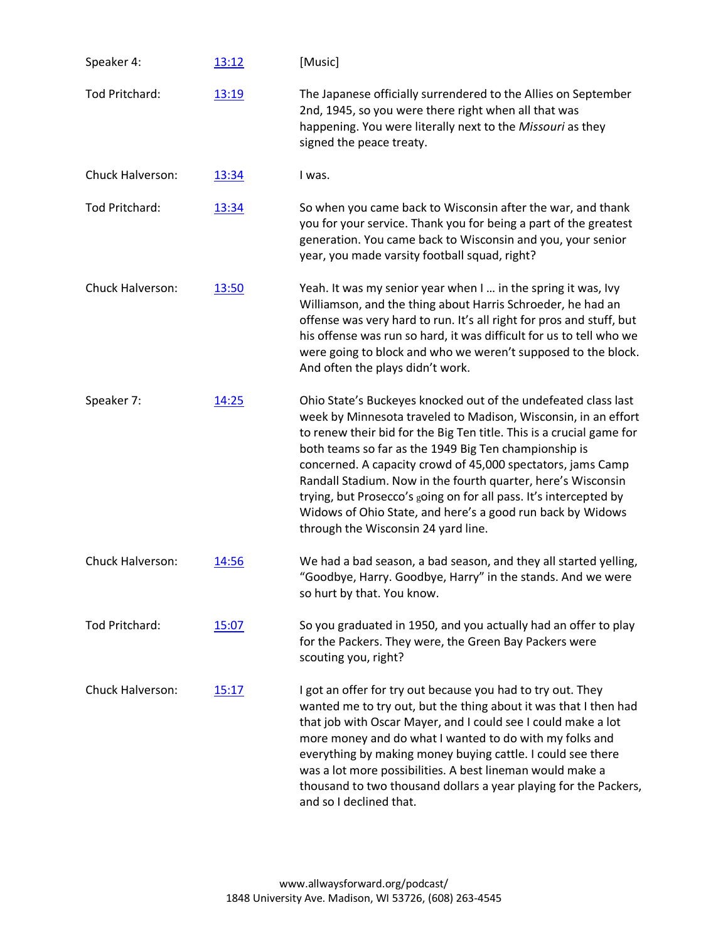| Speaker 4:       | 13:12        | [Music]                                                                                                                                                                                                                                                                                                                                                                                                                                                                                                                                                                    |
|------------------|--------------|----------------------------------------------------------------------------------------------------------------------------------------------------------------------------------------------------------------------------------------------------------------------------------------------------------------------------------------------------------------------------------------------------------------------------------------------------------------------------------------------------------------------------------------------------------------------------|
| Tod Pritchard:   | 13:19        | The Japanese officially surrendered to the Allies on September<br>2nd, 1945, so you were there right when all that was<br>happening. You were literally next to the Missouri as they<br>signed the peace treaty.                                                                                                                                                                                                                                                                                                                                                           |
| Chuck Halverson: | 13:34        | I was.                                                                                                                                                                                                                                                                                                                                                                                                                                                                                                                                                                     |
| Tod Pritchard:   | 13:34        | So when you came back to Wisconsin after the war, and thank<br>you for your service. Thank you for being a part of the greatest<br>generation. You came back to Wisconsin and you, your senior<br>year, you made varsity football squad, right?                                                                                                                                                                                                                                                                                                                            |
| Chuck Halverson: | <u>13:50</u> | Yeah. It was my senior year when I  in the spring it was, Ivy<br>Williamson, and the thing about Harris Schroeder, he had an<br>offense was very hard to run. It's all right for pros and stuff, but<br>his offense was run so hard, it was difficult for us to tell who we<br>were going to block and who we weren't supposed to the block.<br>And often the plays didn't work.                                                                                                                                                                                           |
| Speaker 7:       | 14:25        | Ohio State's Buckeyes knocked out of the undefeated class last<br>week by Minnesota traveled to Madison, Wisconsin, in an effort<br>to renew their bid for the Big Ten title. This is a crucial game for<br>both teams so far as the 1949 Big Ten championship is<br>concerned. A capacity crowd of 45,000 spectators, jams Camp<br>Randall Stadium. Now in the fourth quarter, here's Wisconsin<br>trying, but Prosecco's going on for all pass. It's intercepted by<br>Widows of Ohio State, and here's a good run back by Widows<br>through the Wisconsin 24 yard line. |
| Chuck Halverson: | 14:56        | We had a bad season, a bad season, and they all started yelling,<br>"Goodbye, Harry. Goodbye, Harry" in the stands. And we were<br>so hurt by that. You know.                                                                                                                                                                                                                                                                                                                                                                                                              |
| Tod Pritchard:   | 15:07        | So you graduated in 1950, and you actually had an offer to play<br>for the Packers. They were, the Green Bay Packers were<br>scouting you, right?                                                                                                                                                                                                                                                                                                                                                                                                                          |
| Chuck Halverson: | 15:17        | I got an offer for try out because you had to try out. They<br>wanted me to try out, but the thing about it was that I then had<br>that job with Oscar Mayer, and I could see I could make a lot<br>more money and do what I wanted to do with my folks and<br>everything by making money buying cattle. I could see there<br>was a lot more possibilities. A best lineman would make a<br>thousand to two thousand dollars a year playing for the Packers,<br>and so I declined that.                                                                                     |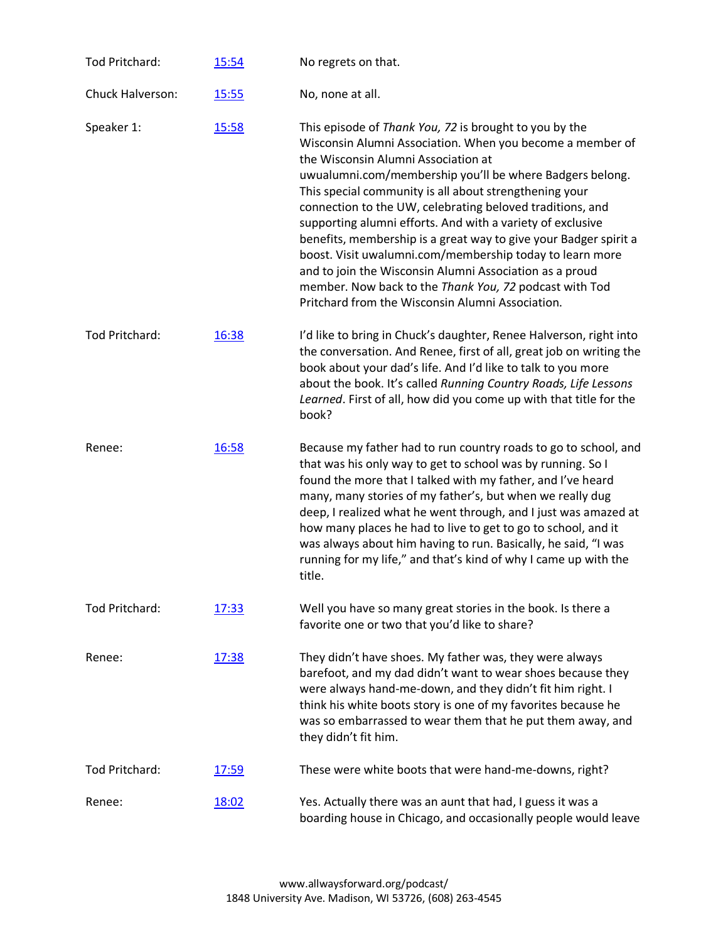| Tod Pritchard:        | 15:54        | No regrets on that.                                                                                                                                                                                                                                                                                                                                                                                                                                                                                                                                                                                                                                                                                                  |
|-----------------------|--------------|----------------------------------------------------------------------------------------------------------------------------------------------------------------------------------------------------------------------------------------------------------------------------------------------------------------------------------------------------------------------------------------------------------------------------------------------------------------------------------------------------------------------------------------------------------------------------------------------------------------------------------------------------------------------------------------------------------------------|
| Chuck Halverson:      | 15:55        | No, none at all.                                                                                                                                                                                                                                                                                                                                                                                                                                                                                                                                                                                                                                                                                                     |
| Speaker 1:            | 15:58        | This episode of Thank You, 72 is brought to you by the<br>Wisconsin Alumni Association. When you become a member of<br>the Wisconsin Alumni Association at<br>uwualumni.com/membership you'll be where Badgers belong.<br>This special community is all about strengthening your<br>connection to the UW, celebrating beloved traditions, and<br>supporting alumni efforts. And with a variety of exclusive<br>benefits, membership is a great way to give your Badger spirit a<br>boost. Visit uwalumni.com/membership today to learn more<br>and to join the Wisconsin Alumni Association as a proud<br>member. Now back to the Thank You, 72 podcast with Tod<br>Pritchard from the Wisconsin Alumni Association. |
| <b>Tod Pritchard:</b> | 16:38        | I'd like to bring in Chuck's daughter, Renee Halverson, right into<br>the conversation. And Renee, first of all, great job on writing the<br>book about your dad's life. And I'd like to talk to you more<br>about the book. It's called Running Country Roads, Life Lessons<br>Learned. First of all, how did you come up with that title for the<br>book?                                                                                                                                                                                                                                                                                                                                                          |
| Renee:                | 16:58        | Because my father had to run country roads to go to school, and<br>that was his only way to get to school was by running. So I<br>found the more that I talked with my father, and I've heard<br>many, many stories of my father's, but when we really dug<br>deep, I realized what he went through, and I just was amazed at<br>how many places he had to live to get to go to school, and it<br>was always about him having to run. Basically, he said, "I was<br>running for my life," and that's kind of why I came up with the<br>title.                                                                                                                                                                        |
| <b>Tod Pritchard:</b> | 17:33        | Well you have so many great stories in the book. Is there a<br>favorite one or two that you'd like to share?                                                                                                                                                                                                                                                                                                                                                                                                                                                                                                                                                                                                         |
| Renee:                | 17:38        | They didn't have shoes. My father was, they were always<br>barefoot, and my dad didn't want to wear shoes because they<br>were always hand-me-down, and they didn't fit him right. I<br>think his white boots story is one of my favorites because he<br>was so embarrassed to wear them that he put them away, and<br>they didn't fit him.                                                                                                                                                                                                                                                                                                                                                                          |
| Tod Pritchard:        | <u>17:59</u> | These were white boots that were hand-me-downs, right?                                                                                                                                                                                                                                                                                                                                                                                                                                                                                                                                                                                                                                                               |
| Renee:                | 18:02        | Yes. Actually there was an aunt that had, I guess it was a<br>boarding house in Chicago, and occasionally people would leave                                                                                                                                                                                                                                                                                                                                                                                                                                                                                                                                                                                         |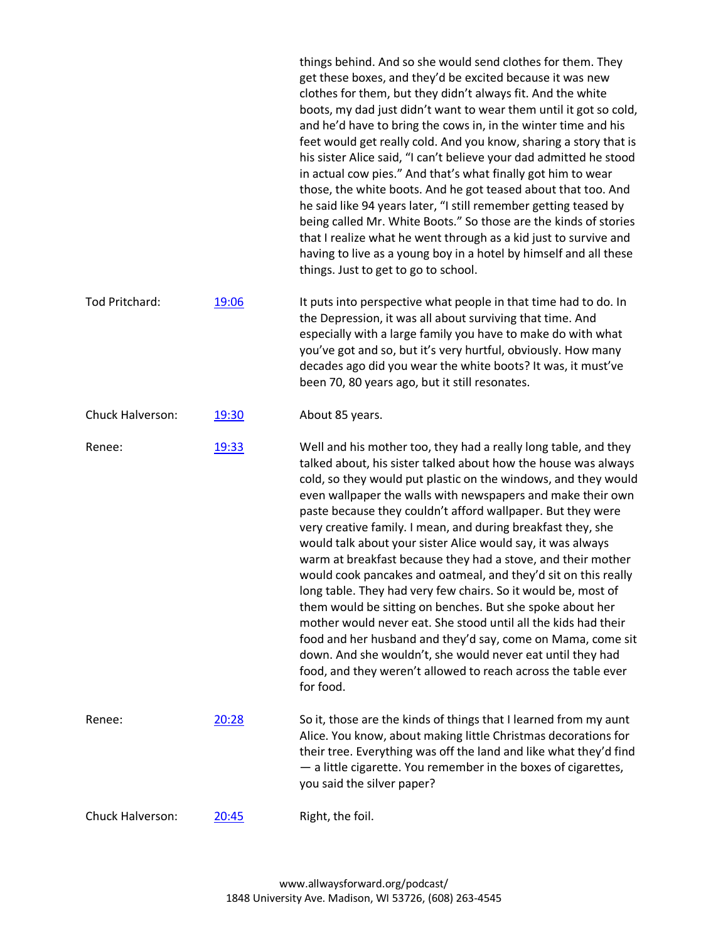things behind. And so she would send clothes for them. They get these boxes, and they'd be excited because it was new clothes for them, but they didn't always fit. And the white boots, my dad just didn't want to wear them until it got so cold, and he'd have to bring the cows in, in the winter time and his feet would get really cold. And you know, sharing a story that is his sister Alice said, "I can't believe your dad admitted he stood in actual cow pies." And that's what finally got him to wear those, the white boots. And he got teased about that too. And he said like 94 years later, "I still remember getting teased by being called Mr. White Boots." So those are the kinds of stories that I realize what he went through as a kid just to survive and having to live as a young boy in a hotel by himself and all these things. Just to get to go to school.

Tod Pritchard: [19:06](https://www.rev.com/transcript-editor/Edit?token=vIwbI_mHr7wjCfBxc_ZK7_jDMD2WJK4NgF4YLaSRm5cyIEzevcPedlElKVhDm5e9C5b53knyid0tV_FrbU49Kyb1vt4&loadFrom=DocumentDeeplink&ts=1146.22) It puts into perspective what people in that time had to do. In the Depression, it was all about surviving that time. And especially with a large family you have to make do with what you've got and so, but it's very hurtful, obviously. How many decades ago did you wear the white boots? It was, it must've been 70, 80 years ago, but it still resonates.

## Chuck Halverson: [19:30](https://www.rev.com/transcript-editor/Edit?token=w3VK78lx5qM3jWsnmYvnT62U6uUGKF6EMitp9SIkAxGIwfggahHTQlmC-O83OA3V8pWWUdoez29i8WCaDBW36qaKez0&loadFrom=DocumentDeeplink&ts=1170.55) About 85 years.

Renee: [19:33](https://www.rev.com/transcript-editor/Edit?token=tkcqz3rykuy5NdANifBJh5FMxVJzCsG5LDb56fW0LIA_YpbyX0Cil4iuZN3GPswqZqp8uPVVDF31W_YqeDVDn7cCHQw&loadFrom=DocumentDeeplink&ts=1173.24) Well and his mother too, they had a really long table, and they talked about, his sister talked about how the house was always cold, so they would put plastic on the windows, and they would even wallpaper the walls with newspapers and make their own paste because they couldn't afford wallpaper. But they were very creative family. I mean, and during breakfast they, she would talk about your sister Alice would say, it was always warm at breakfast because they had a stove, and their mother would cook pancakes and oatmeal, and they'd sit on this really long table. They had very few chairs. So it would be, most of them would be sitting on benches. But she spoke about her mother would never eat. She stood until all the kids had their food and her husband and they'd say, come on Mama, come sit down. And she wouldn't, she would never eat until they had food, and they weren't allowed to reach across the table ever for food. Renee: [20:28](https://www.rev.com/transcript-editor/Edit?token=oETa9Q01oJVr6rX8X9ZfYNbp4zkw3U2SvNec2iuOLHM-ghnncEYpVFAnkrjF8MS49W0y9SihiWuq84vldm5TP8WSneg&loadFrom=DocumentDeeplink&ts=1228.43) So it, those are the kinds of things that I learned from my aunt Alice. You know, about making little Christmas decorations for

their tree. Everything was off the land and like what they'd find — a little cigarette. You remember in the boxes of cigarettes, you said the silver paper?

Chuck Halverson: [20:45](https://www.rev.com/transcript-editor/Edit?token=5BtZJl4ZZ2egCsS1ZR80tZdtBXgBJVIOT9Ddm6kb3PTUWRPIKf_xuPs5fu-0eMhb-mD5tKr7uvo_ynswwz_JmVBahTQ&loadFrom=DocumentDeeplink&ts=1245.35) Right, the foil.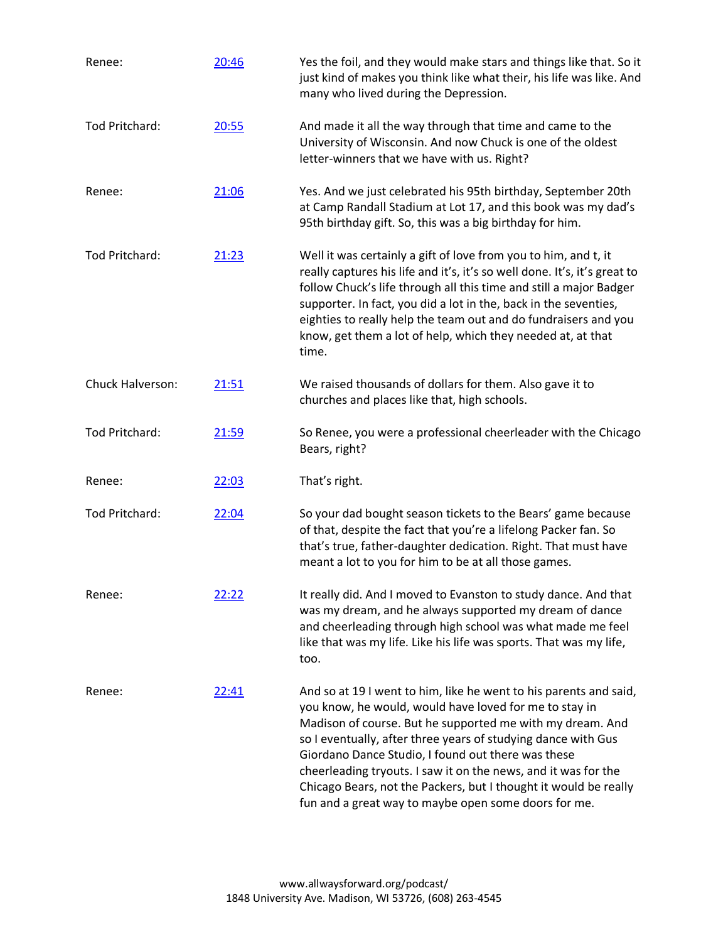| Renee:           | 20:46 | Yes the foil, and they would make stars and things like that. So it<br>just kind of makes you think like what their, his life was like. And<br>many who lived during the Depression.                                                                                                                                                                                                                                                                                                                          |
|------------------|-------|---------------------------------------------------------------------------------------------------------------------------------------------------------------------------------------------------------------------------------------------------------------------------------------------------------------------------------------------------------------------------------------------------------------------------------------------------------------------------------------------------------------|
| Tod Pritchard:   | 20:55 | And made it all the way through that time and came to the<br>University of Wisconsin. And now Chuck is one of the oldest<br>letter-winners that we have with us. Right?                                                                                                                                                                                                                                                                                                                                       |
| Renee:           | 21:06 | Yes. And we just celebrated his 95th birthday, September 20th<br>at Camp Randall Stadium at Lot 17, and this book was my dad's<br>95th birthday gift. So, this was a big birthday for him.                                                                                                                                                                                                                                                                                                                    |
| Tod Pritchard:   | 21:23 | Well it was certainly a gift of love from you to him, and t, it<br>really captures his life and it's, it's so well done. It's, it's great to<br>follow Chuck's life through all this time and still a major Badger<br>supporter. In fact, you did a lot in the, back in the seventies,<br>eighties to really help the team out and do fundraisers and you<br>know, get them a lot of help, which they needed at, at that<br>time.                                                                             |
| Chuck Halverson: | 21:51 | We raised thousands of dollars for them. Also gave it to<br>churches and places like that, high schools.                                                                                                                                                                                                                                                                                                                                                                                                      |
| Tod Pritchard:   | 21:59 | So Renee, you were a professional cheerleader with the Chicago<br>Bears, right?                                                                                                                                                                                                                                                                                                                                                                                                                               |
| Renee:           | 22:03 | That's right.                                                                                                                                                                                                                                                                                                                                                                                                                                                                                                 |
| Tod Pritchard:   | 22:04 | So your dad bought season tickets to the Bears' game because<br>of that, despite the fact that you're a lifelong Packer fan. So<br>that's true, father-daughter dedication. Right. That must have<br>meant a lot to you for him to be at all those games.                                                                                                                                                                                                                                                     |
| Renee:           | 22:22 | It really did. And I moved to Evanston to study dance. And that<br>was my dream, and he always supported my dream of dance<br>and cheerleading through high school was what made me feel<br>like that was my life. Like his life was sports. That was my life,<br>too.                                                                                                                                                                                                                                        |
| Renee:           | 22:41 | And so at 19 I went to him, like he went to his parents and said,<br>you know, he would, would have loved for me to stay in<br>Madison of course. But he supported me with my dream. And<br>so I eventually, after three years of studying dance with Gus<br>Giordano Dance Studio, I found out there was these<br>cheerleading tryouts. I saw it on the news, and it was for the<br>Chicago Bears, not the Packers, but I thought it would be really<br>fun and a great way to maybe open some doors for me. |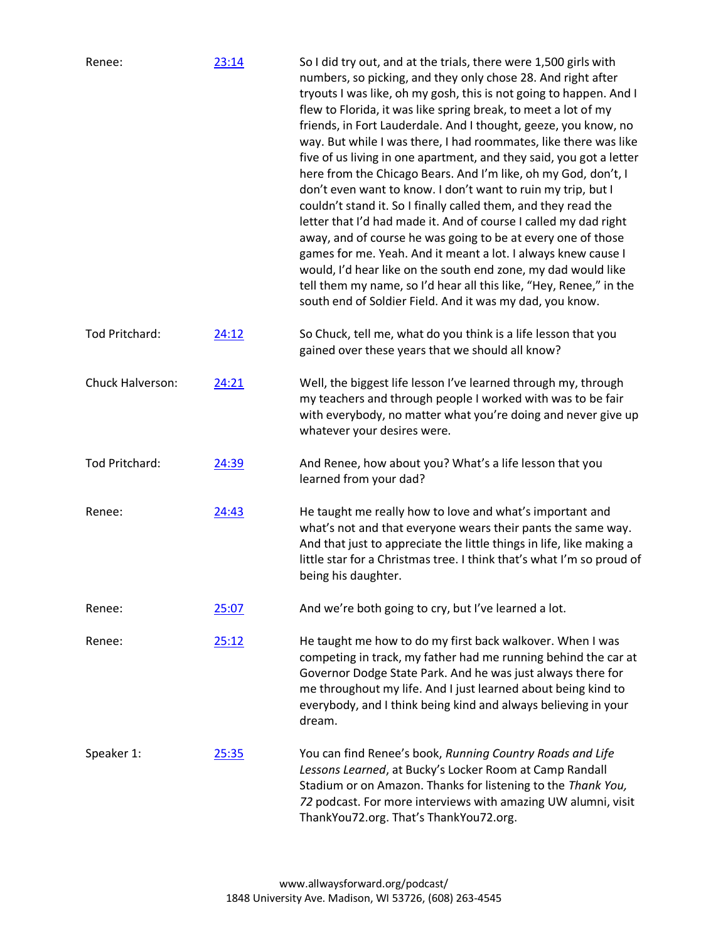| Renee:           | 23:14        | So I did try out, and at the trials, there were 1,500 girls with<br>numbers, so picking, and they only chose 28. And right after<br>tryouts I was like, oh my gosh, this is not going to happen. And I<br>flew to Florida, it was like spring break, to meet a lot of my<br>friends, in Fort Lauderdale. And I thought, geeze, you know, no<br>way. But while I was there, I had roommates, like there was like<br>five of us living in one apartment, and they said, you got a letter<br>here from the Chicago Bears. And I'm like, oh my God, don't, I<br>don't even want to know. I don't want to ruin my trip, but I<br>couldn't stand it. So I finally called them, and they read the<br>letter that I'd had made it. And of course I called my dad right<br>away, and of course he was going to be at every one of those<br>games for me. Yeah. And it meant a lot. I always knew cause I<br>would, I'd hear like on the south end zone, my dad would like<br>tell them my name, so I'd hear all this like, "Hey, Renee," in the<br>south end of Soldier Field. And it was my dad, you know. |
|------------------|--------------|----------------------------------------------------------------------------------------------------------------------------------------------------------------------------------------------------------------------------------------------------------------------------------------------------------------------------------------------------------------------------------------------------------------------------------------------------------------------------------------------------------------------------------------------------------------------------------------------------------------------------------------------------------------------------------------------------------------------------------------------------------------------------------------------------------------------------------------------------------------------------------------------------------------------------------------------------------------------------------------------------------------------------------------------------------------------------------------------------|
| Tod Pritchard:   | 24:12        | So Chuck, tell me, what do you think is a life lesson that you<br>gained over these years that we should all know?                                                                                                                                                                                                                                                                                                                                                                                                                                                                                                                                                                                                                                                                                                                                                                                                                                                                                                                                                                                 |
| Chuck Halverson: | 24:21        | Well, the biggest life lesson I've learned through my, through<br>my teachers and through people I worked with was to be fair<br>with everybody, no matter what you're doing and never give up<br>whatever your desires were.                                                                                                                                                                                                                                                                                                                                                                                                                                                                                                                                                                                                                                                                                                                                                                                                                                                                      |
| Tod Pritchard:   | 24:39        | And Renee, how about you? What's a life lesson that you<br>learned from your dad?                                                                                                                                                                                                                                                                                                                                                                                                                                                                                                                                                                                                                                                                                                                                                                                                                                                                                                                                                                                                                  |
| Renee:           | 24:43        | He taught me really how to love and what's important and<br>what's not and that everyone wears their pants the same way.<br>And that just to appreciate the little things in life, like making a<br>little star for a Christmas tree. I think that's what I'm so proud of<br>being his daughter.                                                                                                                                                                                                                                                                                                                                                                                                                                                                                                                                                                                                                                                                                                                                                                                                   |
| Renee:           | 25:07        | And we're both going to cry, but I've learned a lot.                                                                                                                                                                                                                                                                                                                                                                                                                                                                                                                                                                                                                                                                                                                                                                                                                                                                                                                                                                                                                                               |
| Renee:           | 25:12        | He taught me how to do my first back walkover. When I was<br>competing in track, my father had me running behind the car at<br>Governor Dodge State Park. And he was just always there for<br>me throughout my life. And I just learned about being kind to<br>everybody, and I think being kind and always believing in your<br>dream.                                                                                                                                                                                                                                                                                                                                                                                                                                                                                                                                                                                                                                                                                                                                                            |
| Speaker 1:       | <u>25:35</u> | You can find Renee's book, Running Country Roads and Life<br>Lessons Learned, at Bucky's Locker Room at Camp Randall<br>Stadium or on Amazon. Thanks for listening to the Thank You,<br>72 podcast. For more interviews with amazing UW alumni, visit<br>ThankYou72.org. That's ThankYou72.org.                                                                                                                                                                                                                                                                                                                                                                                                                                                                                                                                                                                                                                                                                                                                                                                                    |